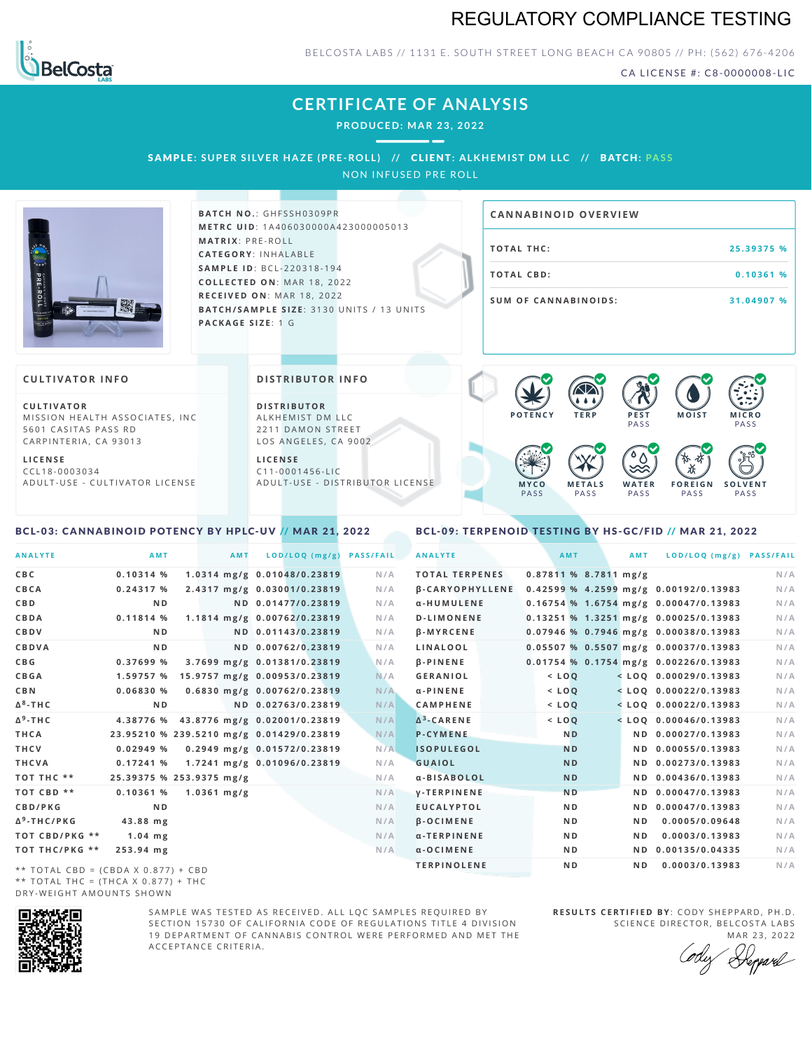# REGULATORY COMPLIANCE TESTING



#### BELCOSTA LABS // 1131 E. SOUTH STREET LONG BEACH CA 90805 // PH: (562) 676-4206

CA LICENSE #: C8-0000008-LIC

# **CERTIFICATE OF ANALYSIS**

**PRODUCED: MA R 23, 2022**

## SAMPLE: SUPER SILVER HAZE (PRE-ROLL) // CLIENT: ALKHEMIST DM LLC // BATCH: PASS

NON INFUSED PRE ROLL



 $B$  **ATCH NO.: GHFSSH0309PR M E T R C U ID** :1 A 4 0 6 0 3 0 0 0 0 A 4 2 3 0 0 0 0 0 5 0 1 3 **M AT R I X** :P R E - R O L L **CAT E G O R Y** : I N H A L A B L E **SA M P L E I D** :B C L - 2 2 0 3 1 8 - 1 9 4  $COLLECTED ON: MAR 18, 2022$ **R E C E I V E D O N** : M A R 1 8 ,2 0 2 2 **BATCH/SAMPLE SIZE: 3130 UNITS / 13 UNITS PAC KA G E S I Z E** : 1 G

# **T O TAL T H C :2 5 . 3 9 3 7 5 % T O TAL CB D :0 . 1 0 3 6 1 % S U M O F CA N N ABI N O I D S : 3 1 . 0 4 9 0 7 % CA N N ABI N OID OVERVI EW**

#### **CULTIVATOR I N FO**

**C U L T I VAT O R** MISSION HEALTH ASSOCIATES, INC. 5601 CASITAS PASS RD CARPINTERIA, CA 93013

**L I C E N S E** C C L 1 8 - 0 0 0 3 0 3 4 A D U L T - U S E - C U L T I V A T O R L I C E N S E

<span id="page-0-0"></span>BCL-03: CANNABINOID POTENCY BY HPLC-UV // MAR 21, 2022

#### **DI STRIBUTOR I N FO**

**D I S T R IB U T O R** ALKHEMIST DM LLC 2211 DAMON STREET LOS ANGELES, CA 9002

**L I C E N S E**  $C$  1 1 - 0 0 0 1 4 5 6 - L I C A D U L T - U S E - D I STRI B U T O R LICENSE



<span id="page-0-1"></span>BCL-09: TERPENOID TESTING BY HS-GC/FID // MAR 21, 2022

| <b>ANALYTE</b>          | AMT                                      | AMT                          | LOD/LOQ (mg/g)     | <b>PASS/FAIL</b> | <b>ANALYTE</b>         |                         | <b>AMT</b>     | AMT | LOD/LOQ (mg/g) PASS/FAIL                |     |
|-------------------------|------------------------------------------|------------------------------|--------------------|------------------|------------------------|-------------------------|----------------|-----|-----------------------------------------|-----|
| C B C                   | $0.10314$ %                              | 1.0314 mg/g 0.01048/0.23819  |                    | N/A              | <b>TOTAL TERPENES</b>  | $0.87811$ % 8.7811 mg/g |                |     |                                         | N/A |
| CBCA                    | 0.24317%                                 | 2.4317 mg/g 0.03001/0.23819  |                    | N/A              | <b>B-CARYOPHYLLENE</b> |                         |                |     | 0.42599 % 4.2599 mg/g 0.00192/0.13983   | N/A |
| C B D                   | N <sub>D</sub>                           |                              | ND 0.01477/0.23819 | N/A              | α-HUMULENE             |                         |                |     | $0.16754$ % 1.6754 mg/g 0.00047/0.13983 | N/A |
| CBDA                    | 0.11814 %                                | 1.1814 mg/g 0.00762/0.23819  |                    | N/A              | <b>D-LIMONENE</b>      |                         |                |     | 0.13251 % 1.3251 mg/g 0.00025/0.13983   | N/A |
| CBDV                    | N <sub>D</sub>                           |                              | ND 0.01143/0.23819 | N/A              | <b>B-MYRCENE</b>       |                         |                |     | 0.07946 % 0.7946 mg/g 0.00038/0.13983   | N/A |
| CBDVA                   | N <sub>D</sub>                           |                              | ND 0.00762/0.23819 | N/A              | <b>LINALOOL</b>        |                         |                |     | 0.05507 % 0.5507 mg/g 0.00037/0.13983   | N/A |
| C B G                   | 0.37699 %                                | 3.7699 mg/g 0.01381/0.23819  |                    | N/A              | <b>B-PINENE</b>        |                         |                |     | 0.01754 % 0.1754 mg/g 0.00226/0.13983   | N/A |
| <b>CBGA</b>             | 1.59757 %                                | 15.9757 mg/g 0.00953/0.23819 |                    | N/A              | <b>GERANIOL</b>        |                         | $<$ $LOQ$      |     | $<$ LOQ 0.00029/0.13983                 | N/A |
| C B N                   | 0.06830%                                 | 0.6830 mg/g 0.00762/0.23819  |                    | N/A              | $\alpha$ -PINENE       |                         | $<$ LOQ        |     | $<$ LOQ 0.00022/0.13983                 | N/A |
| Δ <sup>8</sup> -ΤΗC     | N <sub>D</sub>                           |                              | ND 0.02763/0.23819 | N/A              | <b>CAMPHENE</b>        |                         | $<$ LOQ        |     | $<$ LOQ 0.00022/0.13983                 | N/A |
| Δ <sup>9</sup> -ΤΗ C    | 4.38776 %                                | 43.8776 mg/g 0.02001/0.23819 |                    | N/A              | $\Delta^3$ -CARENE     |                         | $<$ $LOQ$      |     | $<$ LOO 0.00046/0.13983                 | N/A |
| THCA                    | 23.95210 % 239.5210 mg/g 0.01429/0.23819 |                              |                    | N/A              | <b>P-CYMENE</b>        |                         | <b>ND</b>      |     | ND 0.00027/0.13983                      | N/A |
| THCV                    | 0.02949%                                 | 0.2949 mg/g 0.01572/0.23819  |                    | N/A              | <b>ISOPULEGOL</b>      |                         | <b>ND</b>      |     | ND 0.00055/0.13983                      | N/A |
| THCVA                   | 0.17241%                                 | 1.7241 mg/g 0.01096/0.23819  |                    | N/A              | <b>GUAIOL</b>          |                         | <b>ND</b>      |     | ND 0.00273/0.13983                      | N/A |
| тот тнс **              | 25.39375 % 253.9375 mg/g                 |                              |                    | N/A              | α-BISABOLOL            |                         | <b>ND</b>      |     | ND 0.00436/0.13983                      | N/A |
| TOT CBD **              | 0.10361%                                 | $1.0361$ mg/g                |                    | N/A              | <b>V-TERPINENE</b>     |                         | <b>ND</b>      |     | ND 0.00047/0.13983                      | N/A |
| CBD/PKG                 | N <sub>D</sub>                           |                              |                    | N/A              | <b>EUCALYPTOL</b>      |                         | ND.            |     | ND 0.00047/0.13983                      | N/A |
| Δ <sup>9</sup> -THC/PKG | 43.88 mg                                 |                              |                    | N/A              | $\beta$ -OCIMENE       |                         | ND.            | ND. | 0.0005/0.09648                          | N/A |
| TOT CBD/PKG **          | $1.04$ mg                                |                              |                    | N/A              | α-TERPINENE            |                         | N <sub>D</sub> | ND. | 0.0003/0.13983                          | N/A |
| ТОТ ТНС/РКG **          | 253.94 mg                                |                              |                    | N/A              | $\alpha$ -OCIMENE      |                         | ND.            |     | ND 0.00135/0.04335                      | N/A |
|                         |                                          |                              |                    |                  | <b>TERPINOLENE</b>     |                         | ND.            | ND. | 0.0003/0.13983                          | N/A |

\*\* TOTAL CBD = (CBDA X 0.877) + CBD \*\* TOTAL THC =  $(THCA X 0.877) + THC$ DRY-WEIGHT AMOUNTS SHOWN



SAMPLE WAS TESTED AS RECEIVED. ALL LOC SAMPLES REQUIRED BY SECTION 15730 OF CALIFORNIA CODE OF REGULATIONS TITLE 4 DIVISION 19 DEPARTMENT OF CANNABIS CONTROL WERE PERFORMED AND MET THE A C C E P T A N C E C R I T E R I A .

**R E S U L T S C E R T I F I E D BY** : C O D Y S H E P P A R D ,P H .D . SCIENCE DIRECTOR, BELCOSTA LABS

MAR 23, 2022 Reppard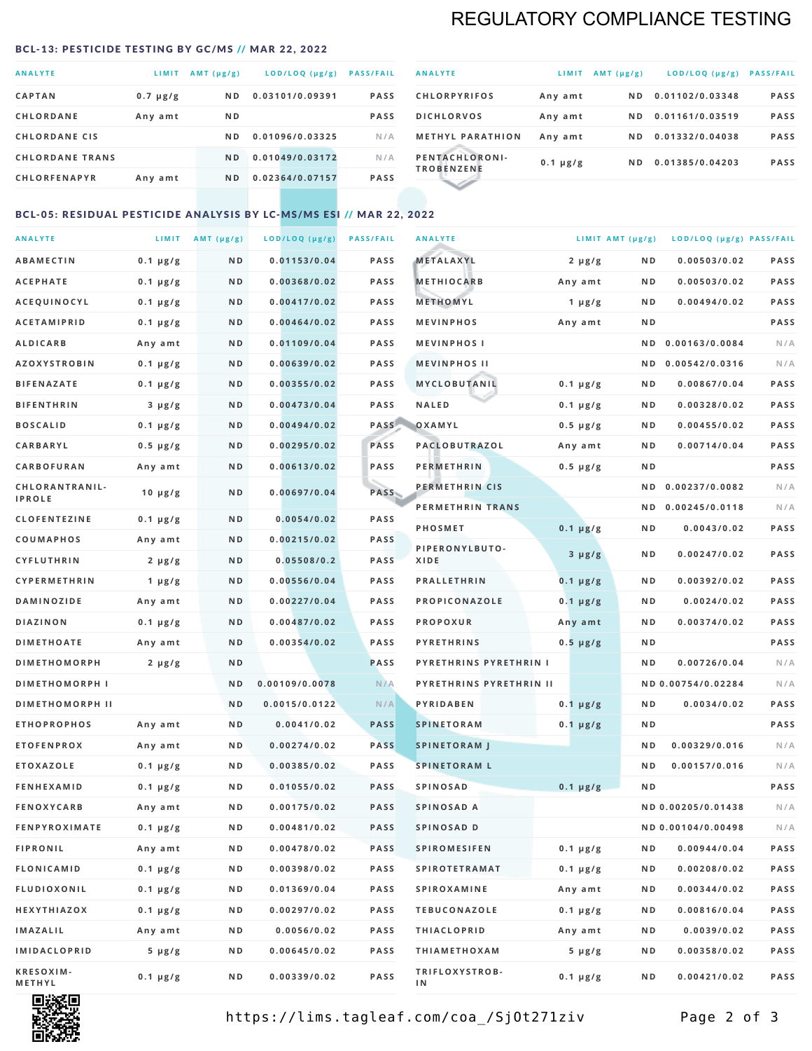# REGULATORY COMPLIANCE TESTING

#### <span id="page-1-0"></span>BCL-13: PESTICIDE TESTING BY GC/MS // MAR 22, 2022

| <b>ANALYTE</b>         | LIMIT         | AMT $(\mu g/g)$ | LOD/LOQ (µg/g)  | <b>PASS/FAIL</b> |
|------------------------|---------------|-----------------|-----------------|------------------|
| <b>CAPTAN</b>          | $0.7 \mu g/g$ | N <sub>D</sub>  | 0.03101/0.09391 | <b>PASS</b>      |
| <b>CHLORDANE</b>       | Any amt       | N <sub>D</sub>  |                 | <b>PASS</b>      |
| <b>CHLORDANE CIS</b>   |               | ND.             | 0.01096/0.03325 | N/A              |
| <b>CHLORDANE TRANS</b> |               | N <sub>D</sub>  | 0.01049/0.03172 | N/A              |
| <b>CHLORFENAPYR</b>    | Any amt       | N <sub>D</sub>  | 0.02364/0.07157 | <b>PASS</b>      |

| <b>ANALYTE</b>                      | LIMIT         | $AMT (\mu g/g)$ | $LOD/LOQ$ ( $\mu g/g$ ) | <b>PASS/FAIL</b> |
|-------------------------------------|---------------|-----------------|-------------------------|------------------|
| <b>CHLORPYRIFOS</b>                 | Any amt       | N D             | 0.01102/0.03348         | <b>PASS</b>      |
| <b>DICHLORVOS</b>                   | Any amt       | ND.             | 0.01161/0.03519         | <b>PASS</b>      |
| <b>METHYL PARATHION</b>             | Any amt       | ND.             | 0.01332/0.04038         | <b>PASS</b>      |
| PENTACHLORONI-<br><b>TROBENZENE</b> | $0.1 \mu g/g$ | ND.             | 0.01385/0.04203         | <b>PASS</b>      |
|                                     |               |                 |                         |                  |

## BCL-05: RESIDUAL PESTICIDE ANALYSIS BY LC-MS/MS ESI // MAR 22, 2022

| <b>ANALYTE</b>             |               | LIMIT $AMT (\mu g/g)$ | LOD/LOQ (µg/g) | <b>PASS/FAIL</b> | <b>ANALYTE</b>          |               | LIMIT AMT $(\mu g/g)$ | LOD/LOQ (µg/g) PASS/FAIL |             |
|----------------------------|---------------|-----------------------|----------------|------------------|-------------------------|---------------|-----------------------|--------------------------|-------------|
| ABAMECTIN                  | $0.1 \mu g/g$ | ND                    | 0.01153/0.04   | <b>PASS</b>      | METALAXYL               | $2 \mu g/g$   | N D                   | 0.00503/0.02             | <b>PASS</b> |
| <b>ACEPHATE</b>            | $0.1 \mu g/g$ | N D                   | 0.00368/0.02   | <b>PASS</b>      | <b>METHIOCARB</b>       | Any amt       | N D                   | 0.00503/0.02             | PASS        |
| <b>ACEQUINOCYL</b>         | $0.1 \mu g/g$ | N D                   | 0.00417/0.02   | <b>PASS</b>      | METHOMYL                | 1 $\mu$ g/g   | N D                   | 0.00494/0.02             | PASS        |
| <b>ACETAMIPRID</b>         | $0.1 \mu g/g$ | N D                   | 0.00464/0.02   | <b>PASS</b>      | <b>MEVINPHOS</b>        | Any amt       | N D                   |                          | PASS        |
| <b>ALDICARB</b>            | Any amt       | N D                   | 0.01109/0.04   | <b>PASS</b>      | <b>MEVINPHOSI</b>       |               | N D                   | 0.00163/0.0084           | N/A         |
| <b>AZOXYSTROBIN</b>        | $0.1 \mu g/g$ | N D                   | 0.00639/0.02   | <b>PASS</b>      | <b>MEVINPHOS II</b>     |               | N D                   | 0.00542/0.0316           | N/A         |
| <b>BIFENAZATE</b>          | $0.1 \mu g/g$ | N D                   | 0.00355/0.02   | <b>PASS</b>      | MYCLOBUTANIL            | $0.1 \mu g/g$ | N D                   | 0.00867/0.04             | PASS        |
| <b>BIFENTHRIN</b>          | $3 \mu g/g$   | ND                    | 0.00473/0.04   | <b>PASS</b>      | <b>NALED</b>            | $0.1 \mu g/g$ | N D                   | 0.00328/0.02             | PASS        |
| <b>BOSCALID</b>            | $0.1 \mu g/g$ | N D                   | 0.00494/0.02   | PASS             | OXAMYL                  | $0.5 \mu g/g$ | N D                   | 0.00455/0.02             | <b>PASS</b> |
| <b>CARBARYL</b>            | $0.5 \mu g/g$ | ND                    | 0.00295/0.02   | PASS             | PACLOBUTRAZOL           | Any amt       | N D                   | 0.00714/0.04             | PASS        |
| CARBOFURAN                 | Any amt       | N D                   | 0.00613/0.02   | <b>PASS</b>      | <b>PERMETHRIN</b>       | $0.5 \mu g/g$ | N D                   |                          | PASS        |
| CHLORANTRANIL-             | $10 \mu g/g$  | N D                   | 0.00697/0.04   | PASS             | PERMETHRIN CIS          |               | N D                   | 0.00237/0.0082           | N/A         |
| <b>IPROLE</b>              |               |                       |                |                  | PERMETHRIN TRANS        |               | N D                   | 0.00245/0.0118           | N/A         |
| <b>CLOFENTEZINE</b>        | $0.1 \mu g/g$ | N D                   | 0.0054/0.02    | <b>PASS</b>      | PHOSMET                 | $0.1 \mu g/g$ | N D                   | 0.0043/0.02              | PASS        |
| COUMAPHOS                  | Any amt       | N D                   | 0.00215/0.02   | <b>PASS</b>      | PIPERONYLBUTO-          | $3 \mu g/g$   | N D                   | 0.00247/0.02             | PASS        |
| <b>CYFLUTHRIN</b>          | $2 \mu g/g$   | N D                   | 0.05508/0.2    | <b>PASS</b>      | XIDE                    |               |                       |                          |             |
| <b>CYPERMETHRIN</b>        | 1 $\mu$ g/g   | ND                    | 0.00556/0.04   | <b>PASS</b>      | <b>PRALLETHRIN</b>      | $0.1 \mu g/g$ | N D                   | 0.00392/0.02             | PASS        |
| <b>DAMINOZIDE</b>          | Any amt       | N D                   | 0.00227/0.04   | <b>PASS</b>      | PROPICONAZOLE           | $0.1 \mu g/g$ | N D                   | 0.0024/0.02              | PASS        |
| <b>DIAZINON</b>            | $0.1 \mu g/g$ | N D                   | 0.00487/0.02   | <b>PASS</b>      | <b>PROPOXUR</b>         | Any amt       | N D                   | 0.00374/0.02             | PASS        |
| <b>DIMETHOATE</b>          | Any amt       | N D                   | 0.00354/0.02   | <b>PASS</b>      | <b>PYRETHRINS</b>       | $0.5 \mu g/g$ | N D                   |                          | PASS        |
| <b>DIMETHOMORPH</b>        | $2 \mu g/g$   | N D                   |                | <b>PASS</b>      | PYRETHRINS PYRETHRIN I  |               | ND                    | 0.00726/0.04             | N/A         |
| <b>DIMETHOMORPH I</b>      |               | N D                   | 0.00109/0.0078 | N/A              | PYRETHRINS PYRETHRIN II |               |                       | ND 0.00754/0.02284       | N/A         |
| <b>DIMETHOMORPH II</b>     |               | ND                    | 0.0015/0.0122  | N/A              | PYRIDABEN               | $0.1 \mu g/g$ | N D                   | 0.0034/0.02              | <b>PASS</b> |
| <b>ETHOPROPHOS</b>         | Any amt       | N D                   | 0.0041/0.02    | <b>PASS</b>      | <b>SPINETORAM</b>       | $0.1 \mu g/g$ | N D                   |                          | PASS        |
| <b>ETOFENPROX</b>          | Any amt       | N D                   | 0.00274/0.02   | <b>PASS</b>      | <b>SPINETORAM J</b>     |               | N D                   | 0.00329/0.016            | N/A         |
| <b>ETOXAZOLE</b>           | $0.1 \mu g/g$ | N D                   | 0.00385/0.02   | <b>PASS</b>      | <b>SPINETORAM L</b>     |               | ND                    | 0.00157/0.016            | N/A         |
| <b>FENHEXAMID</b>          | $0.1 \mu g/g$ | N D                   | 0.01055/0.02   | <b>PASS</b>      | <b>SPINOSAD</b>         | $0.1 \mu g/g$ | ND                    |                          | PASS        |
| <b>FENOXYCARB</b>          | Any amt       | ND.                   | 0.00175/0.02   | <b>PASS</b>      | SPINOSAD A              |               |                       | ND 0.00205/0.01438       | N/A         |
| <b>FENPYROXIMATE</b>       | $0.1 \mu g/g$ | N D                   | 0.00481/0.02   | <b>PASS</b>      | SPINOSAD D              |               |                       | ND 0.00104/0.00498       | N/A         |
| <b>FIPRONIL</b>            | Any amt       | N D                   | 0.00478/0.02   | PASS             | <b>SPIROMESIFEN</b>     | $0.1 \mu g/g$ | N D                   | 0.00944/0.04             | PASS        |
| FLONICAMID                 | $0.1 \mu g/g$ | N D                   | 0.00398/0.02   | PASS             | <b>SPIROTETRAMAT</b>    | $0.1 \mu g/g$ | N D                   | 0.00208/0.02             | PASS        |
| <b>FLUDIOXONIL</b>         | $0.1 \mu g/g$ | N D                   | 0.01369/0.04   | PASS             | <b>SPIROXAMINE</b>      | Any amt       | N D                   | 0.00344/0.02             | PASS        |
| HEXYTHIAZOX                | $0.1 \mu g/g$ | N D                   | 0.00297/0.02   | PASS             | <b>TEBUCONAZOLE</b>     | $0.1 \mu g/g$ | N D                   | 0.00816/0.04             | PASS        |
| IMAZALIL                   | Any amt       | N D                   | 0.0056/0.02    | PASS             | <b>THIACLOPRID</b>      | Any amt       | N D                   | 0.0039/0.02              | PASS        |
| IMIDACLOPRID               | $5 \mu g/g$   | N D                   | 0.00645/0.02   | PASS             | <b>THIAMETHOXAM</b>     | $5 \mu g/g$   | N D                   | 0.00358/0.02             | PASS        |
| <b>KRESOXIM-</b><br>METHYL | $0.1 \mu g/g$ | N D                   | 0.00339/0.02   | PASS             | TRIFLOXYSTROB-<br>IN.   | $0.1 \mu g/g$ | N D                   | 0.00421/0.02             | PASS        |